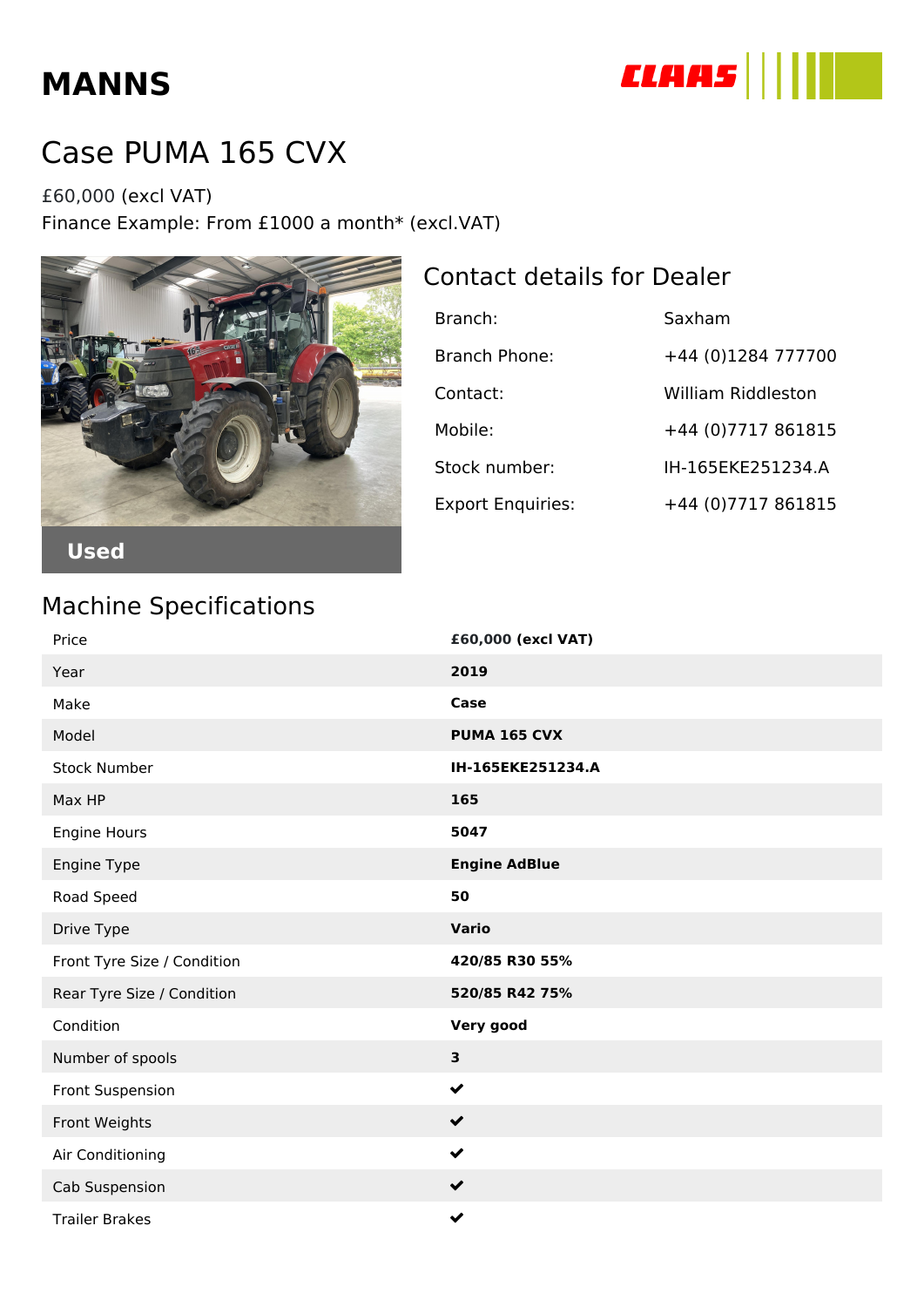## **MANNS**



## Case PUMA 165 CVX

£60,000 (excl VAT) Finance Example: From £1000 a month\* (excl.VAT)



## Contact details for Dealer

| Branch:                  | Saxham              |
|--------------------------|---------------------|
| Branch Phone:            | +44 (0)1284 777700  |
| Contact:                 | William Riddleston  |
| Mobile:                  | +44 (0) 7717 861815 |
| Stock number:            | IH-165EKE251234.A   |
| <b>Export Enquiries:</b> | +44 (0) 7717 861815 |

## Machine Specifications

| Price                       | £60,000 (excl VAT)   |
|-----------------------------|----------------------|
| Year                        | 2019                 |
| Make                        | Case                 |
| Model                       | <b>PUMA 165 CVX</b>  |
| <b>Stock Number</b>         | IH-165EKE251234.A    |
| Max HP                      | 165                  |
| Engine Hours                | 5047                 |
| Engine Type                 | <b>Engine AdBlue</b> |
| Road Speed                  | 50                   |
| Drive Type                  | <b>Vario</b>         |
| Front Tyre Size / Condition | 420/85 R30 55%       |
| Rear Tyre Size / Condition  | 520/85 R42 75%       |
| Condition                   | Very good            |
| Number of spools            | 3                    |
| Front Suspension            | $\checkmark$         |
| Front Weights               | $\checkmark$         |
| Air Conditioning            | $\checkmark$         |
| Cab Suspension              | $\checkmark$         |
| <b>Trailer Brakes</b>       | $\checkmark$         |